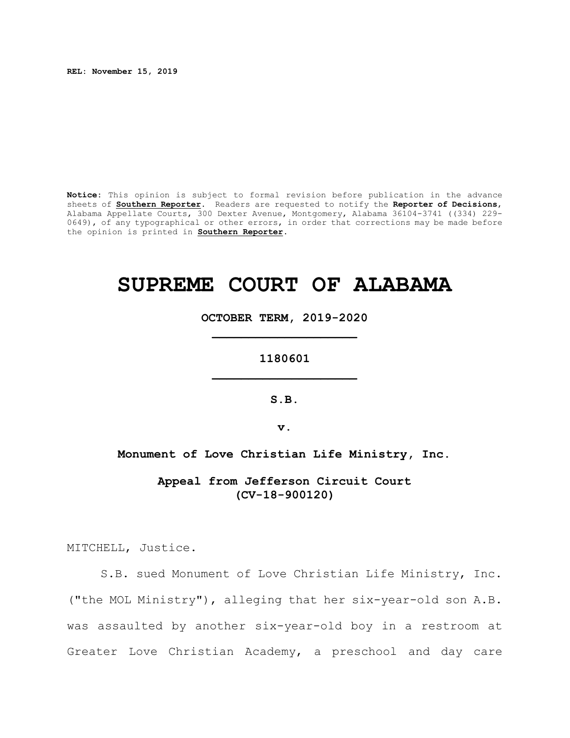**REL: November 15, 2019**

**Notice:** This opinion is subject to formal revision before publication in the advance sheets of **Southern Reporter**. Readers are requested to notify the **Reporter of Decisions**, Alabama Appellate Courts, 300 Dexter Avenue, Montgomery, Alabama 36104-3741 ((334) 229- 0649), of any typographical or other errors, in order that corrections may be made before the opinion is printed in **Southern Reporter**.

## **SUPREME COURT OF ALABAMA**

**OCTOBER TERM, 2019-2020 \_\_\_\_\_\_\_\_\_\_\_\_\_\_\_\_\_\_\_\_**

**1180601 \_\_\_\_\_\_\_\_\_\_\_\_\_\_\_\_\_\_\_\_**

**S.B.**

**v.**

**Monument of Love Christian Life Ministry, Inc.**

**Appeal from Jefferson Circuit Court (CV-18-900120)**

MITCHELL, Justice.

S.B. sued Monument of Love Christian Life Ministry, Inc. ("the MOL Ministry"), alleging that her six-year-old son A.B. was assaulted by another six-year-old boy in a restroom at Greater Love Christian Academy, a preschool and day care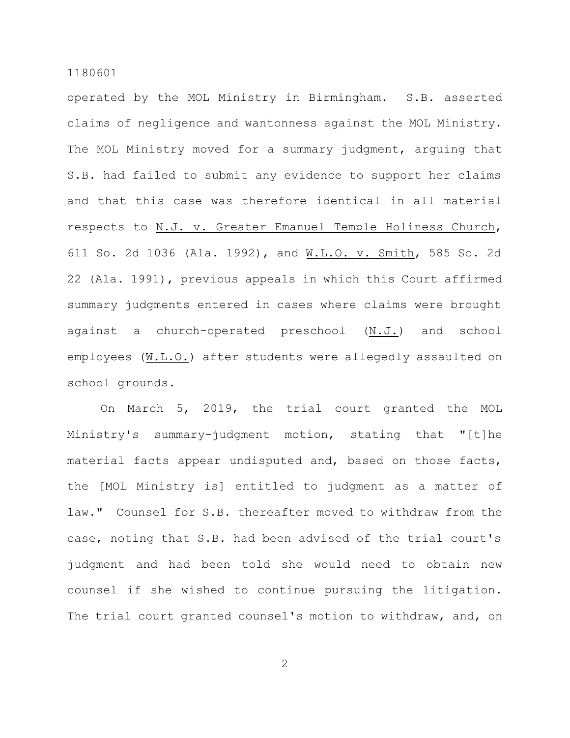1180601

operated by the MOL Ministry in Birmingham. S.B. asserted claims of negligence and wantonness against the MOL Ministry. The MOL Ministry moved for a summary judgment, arguing that S.B. had failed to submit any evidence to support her claims and that this case was therefore identical in all material respects to N.J. v. Greater Emanuel Temple Holiness Church, 611 So. 2d 1036 (Ala. 1992), and W.L.O. v. Smith, 585 So. 2d 22 (Ala. 1991), previous appeals in which this Court affirmed summary judgments entered in cases where claims were brought against a church-operated preschool (N.J.) and school employees (W.L.O.) after students were allegedly assaulted on school grounds.

On March 5, 2019, the trial court granted the MOL Ministry's summary-judgment motion, stating that "[t]he material facts appear undisputed and, based on those facts, the [MOL Ministry is] entitled to judgment as a matter of law." Counsel for S.B. thereafter moved to withdraw from the case, noting that S.B. had been advised of the trial court's judgment and had been told she would need to obtain new counsel if she wished to continue pursuing the litigation. The trial court granted counsel's motion to withdraw, and, on

2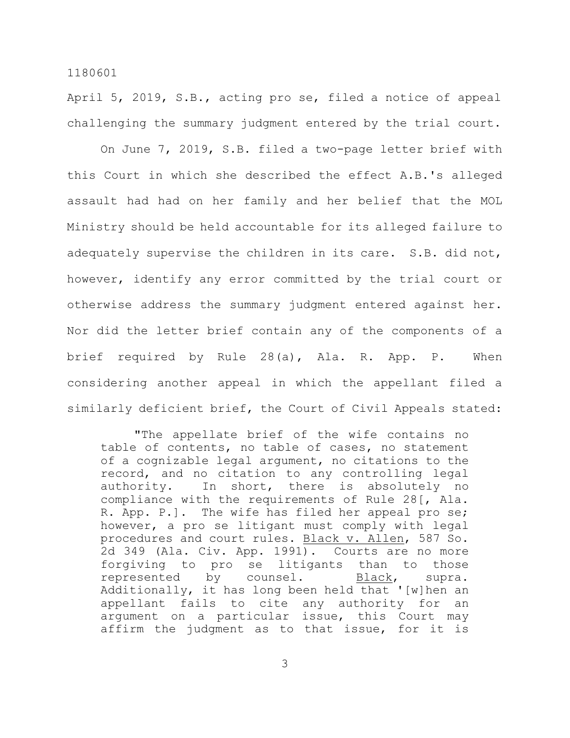## 1180601

April 5, 2019, S.B., acting pro se, filed a notice of appeal challenging the summary judgment entered by the trial court.

On June 7, 2019, S.B. filed a two-page letter brief with this Court in which she described the effect A.B.'s alleged assault had had on her family and her belief that the MOL Ministry should be held accountable for its alleged failure to adequately supervise the children in its care. S.B. did not, however, identify any error committed by the trial court or otherwise address the summary judgment entered against her. Nor did the letter brief contain any of the components of a brief required by Rule 28(a), Ala. R. App. P. When considering another appeal in which the appellant filed a similarly deficient brief, the Court of Civil Appeals stated:

"The appellate brief of the wife contains no table of contents, no table of cases, no statement of a cognizable legal argument, no citations to the record, and no citation to any controlling legal authority. In short, there is absolutely no compliance with the requirements of Rule 28[, Ala. R. App. P.]. The wife has filed her appeal pro se; however, a pro se litigant must comply with legal procedures and court rules. Black v. Allen, 587 So. 2d 349 (Ala. Civ. App. 1991). Courts are no more forgiving to pro se litigants than to those represented by counsel. Black, supra. Additionally, it has long been held that '[w]hen an appellant fails to cite any authority for an argument on a particular issue, this Court may affirm the judgment as to that issue, for it is

3